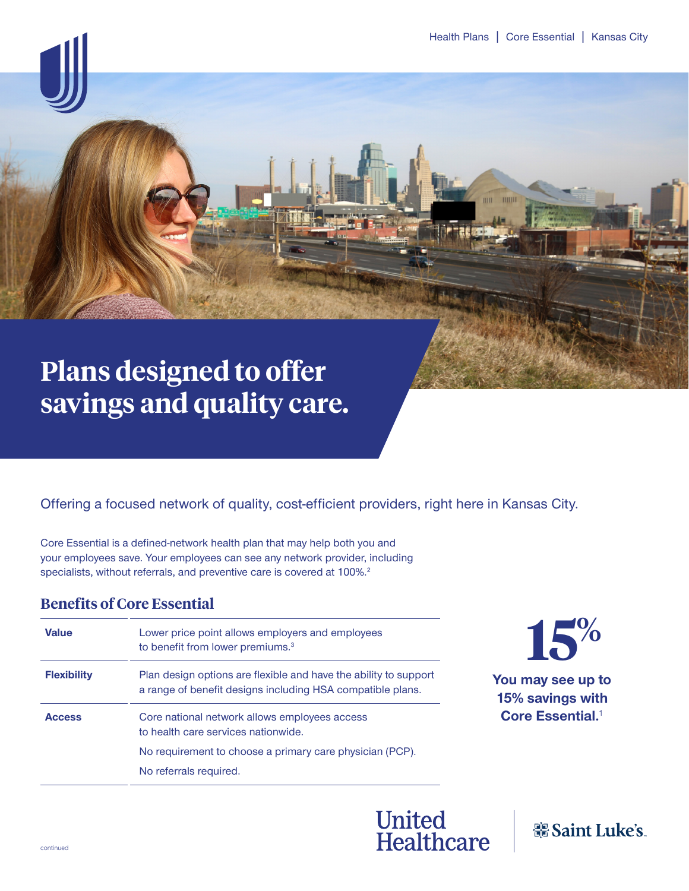mm

# **Plans designed to offer savings and quality care.**

## Offering a focused network of quality, cost-efficient providers, right here in Kansas City.

Core Essential is a defined-network health plan that may help both you and your employees save. Your employees can see any network provider, including specialists, without referrals, and preventive care is covered at 100%.<sup>2</sup>

## **Benefits of Core Essential**

| <b>Value</b>       | Lower price point allows employers and employees<br>to benefit from lower premiums. <sup>3</sup>                               |
|--------------------|--------------------------------------------------------------------------------------------------------------------------------|
| <b>Flexibility</b> | Plan design options are flexible and have the ability to support<br>a range of benefit designs including HSA compatible plans. |
| <b>Access</b>      | Core national network allows employees access<br>to health care services nationwide.                                           |
|                    | No requirement to choose a primary care physician (PCP).                                                                       |
|                    | No referrals required.                                                                                                         |



**You may see up to 15% savings with Core Essential.**<sup>1</sup>



器 Saint Luke's.